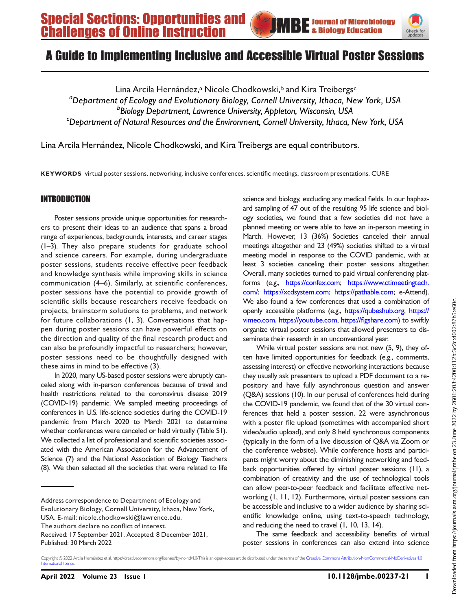



# A Guide to Implementing Inclusive and Accessible Virtual Poster Sessions

Lina Arcila Hernández,<sup>a</sup> Nicole Chodkowski,<sup>b</sup> and Kira Treibergs<sup>c</sup> <sup>a</sup>Department of Ecology and Evolutionary Biology, Cornell University, Ithaca, New York, USA <sup>b</sup>Biology Department, Lawrence University, Appleton, Wisconsin, USA Department of Natural Resources and the Environment, Cornell University, Ithaca, New York, USA

Lina Arcila Hernández, Nicole Chodkowski, and Kira Treibergs are equal contributors.

KEYWORDS virtual poster sessions, networking, inclusive conferences, scientific meetings, classroom presentations, CURE

# INTRODUCTION

Poster sessions provide unique opportunities for researchers to present their ideas to an audience that spans a broad range of experiences, backgrounds, interests, and career stages [\(1](#page-7-0)[–](#page-7-1)[3](#page-7-2)). They also prepare students for graduate school and science careers. For example, during undergraduate poster sessions, students receive effective peer feedback and knowledge synthesis while improving skills in science communication [\(4](#page-7-3)[–](#page-7-4)[6](#page-7-5)). Similarly, at scientific conferences, poster sessions have the potential to provide growth of scientific skills because researchers receive feedback on projects, brainstorm solutions to problems, and network for future collaborations ([1,](#page-7-0) [3](#page-7-2)). Conversations that happen during poster sessions can have powerful effects on the direction and quality of the final research product and can also be profoundly impactful to researchers; however, poster sessions need to be thoughtfully designed with these aims in mind to be effective ([3](#page-7-2)).

In 2020, many US-based poster sessions were abruptly canceled along with in-person conferences because of travel and health restrictions related to the coronavirus disease 2019 (COVID-19) pandemic. We sampled meeting proceedings of conferences in U.S. life-science societies during the COVID-19 pandemic from March 2020 to March 2021 to determine whether conferences were canceled or held virtually (Table S1). We collected a list of professional and scientific societies associated with the American Association for the Advancement of Science [\(7\)](#page-7-6) and the National Association of Biology Teachers [\(8\)](#page-7-7). We then selected all the societies that were related to life

Address correspondence to Department of Ecology and Evolutionary Biology, Cornell University, Ithaca, New York,

The authors declare no conflict of interest.

science and biology, excluding any medical fields. In our haphazard sampling of 47 out of the resulting 95 life science and biology societies, we found that a few societies did not have a planned meeting or were able to have an in-person meeting in March. However, 13 (36%) Societies canceled their annual meetings altogether and 23 (49%) societies shifted to a virtual meeting model in response to the COVID pandemic, with at least 3 societies canceling their poster sessions altogether. Overall, many societies turned to paid virtual conferencing platforms (e.g., <https://confex.com>; [https://www.ctimeetingtech.](https://www.ctimeetingtech.com/) [com/;](https://www.ctimeetingtech.com/) [https://xcdsystem.com;](https://xcdsystem.com) [https://pathable.com;](https://pathable.com) e-Attend). We also found a few conferences that used a combination of openly accessible platforms (e.g., [https://qubeshub.org,](https://qubeshub.org) [https://](https://vimeo.com) [vimeo.com,](https://vimeo.com) [https://youtube.com,](https://youtube.com) https://fi[gshare.com](https://figshare.com)) to swiftly organize virtual poster sessions that allowed presenters to disseminate their research in an unconventional year.

While virtual poster sessions are not new ([5](#page-7-4), [9](#page-7-8)), they often have limited opportunities for feedback (e.g., comments, assessing interest) or effective networking interactions because they usually ask presenters to upload a PDF document to a repository and have fully asynchronous question and answer (Q&A) sessions [\(10\)](#page-7-9). In our perusal of conferences held during the COVID-19 pandemic, we found that of the 30 virtual conferences that held a poster session, 22 were asynchronous with a poster file upload (sometimes with accompanied short video/audio upload), and only 8 held synchronous components (typically in the form of a live discussion of Q&A via Zoom or the conference website). While conference hosts and participants might worry about the diminishing networking and feedback opportunities offered by virtual poster sessions [\(11](#page-7-10)), a combination of creativity and the use of technological tools can allow peer-to-peer feedback and facilitate effective networking [\(1](#page-7-0), [11](#page-7-10), [12\)](#page-7-11). Furthermore, virtual poster sessions can be accessible and inclusive to a wider audience by sharing scientific knowledge online, using text-to-speech technology, and reducing the need to travel ([1,](#page-7-0) [10](#page-7-9), [13,](#page-8-0) [14](#page-8-1)).

The same feedback and accessibility benefits of virtual poster sessions in conferences can also extend into science

USA. E-mail: [nicole.chodkowski@lawrence.edu](mailto:nicole.chodkowski@lawrence.edu).

Received: 17 September 2021, Accepted: 8 December 2021, Published: 30 March 2022

Copyright © 2022 Arcila Hernández et al. https://creativecommons.org/licenses/by-nc-nd/4.0/This is an open-access article distributed under the terms of the [Creative Commons Attribution-NonCommercial-NoDerivatives 4.0](https://creativecommons.org/licenses/by-nc-nd/4.0/) International licens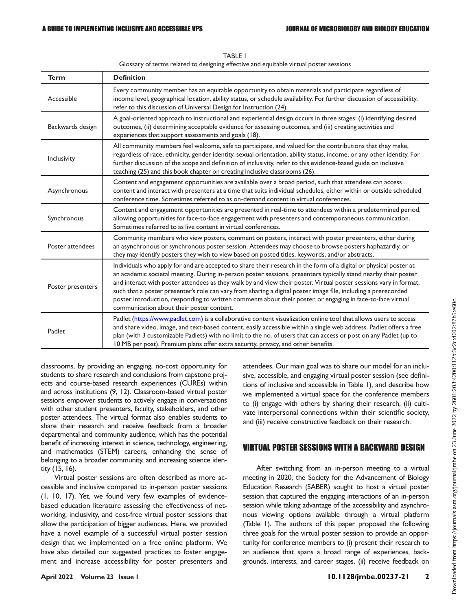<span id="page-1-0"></span>

| <b>Term</b>       | <b>Definition</b>                                                                                                                                                                                                                                                                                                                                                                                                                                                                                                                                                                                                                      |  |
|-------------------|----------------------------------------------------------------------------------------------------------------------------------------------------------------------------------------------------------------------------------------------------------------------------------------------------------------------------------------------------------------------------------------------------------------------------------------------------------------------------------------------------------------------------------------------------------------------------------------------------------------------------------------|--|
| Accessible        | Every community member has an equitable opportunity to obtain materials and participate regardless of<br>income level, geographical location, ability status, or schedule availability. For further discussion of accessibility,<br>refer to this discussion of Universal Design for Instruction (24).                                                                                                                                                                                                                                                                                                                                 |  |
| Backwards design  | A goal-oriented approach to instructional and experiential design occurs in three stages: (i) identifying desired<br>outcomes, (ii) determining acceptable evidence for assessing outcomes, and (iii) creating activities and<br>experiences that support assessments and goals (18).                                                                                                                                                                                                                                                                                                                                                  |  |
| Inclusivity       | All community members feel welcome, safe to participate, and valued for the contributions that they make,<br>regardless of race, ethnicity, gender identity, sexual orientation, ability status, income, or any other identity. For<br>further discussion of the scope and definition of inclusivity, refer to this evidence-based guide on inclusive<br>teaching (25) and this book chapter on creating inclusive classrooms (26).                                                                                                                                                                                                    |  |
| Asynchronous      | Content and engagement opportunities are available over a broad period, such that attendees can access<br>content and interact with presenters at a time that suits individual schedules, either within or outside scheduled<br>conference time. Sometimes referred to as on-demand content in virtual conferences.                                                                                                                                                                                                                                                                                                                    |  |
| Synchronous       | Content and engagement opportunities are presented in real-time to attendees within a predetermined period,<br>allowing opportunities for face-to-face engagement with presenters and contemporaneous communication.<br>Sometimes referred to as live content in virtual conferences.                                                                                                                                                                                                                                                                                                                                                  |  |
| Poster attendees  | Community members who view posters, comment on posters, interact with poster presenters, either during<br>an asynchronous or synchronous poster session. Attendees may choose to browse posters haphazardly, or<br>they may identify posters they wish to view based on posted titles, keywords, and/or abstracts.                                                                                                                                                                                                                                                                                                                     |  |
| Poster presenters | Individuals who apply for and are accepted to share their research in the form of a digital or physical poster at<br>an academic societal meeting. During in-person poster sessions, presenters typically stand nearby their poster<br>and interact with poster attendees as they walk by and view their poster. Virtual poster sessions vary in format,<br>such that a poster presenter's role can vary from sharing a digital poster image file, including a prerecorded<br>poster introduction, responding to written comments about their poster, or engaging in face-to-face virtual<br>communication about their poster content. |  |
| Padlet            | Padlet (https://www.padlet.com) is a collaborative content visualization online tool that allows users to access<br>and share video, image, and text-based content, easily accessible within a single web address. Padlet offers a free<br>plan (with 3 customizable Padlets) with no limit to the no. of users that can access or post on any Padlet (up to<br>10 MB per post). Premium plans offer extra security, privacy, and other benefits.                                                                                                                                                                                      |  |

TABLE 1 Glossary of terms related to designing effective and equitable virtual poster sessions

classrooms, by providing an engaging, no-cost opportunity for students to share research and conclusions from capstone projects and course-based research experiences (CUREs) within and across institutions [\(9](#page-7-8), [12](#page-7-11)). Classroom-based virtual poster sessions empower students to actively engage in conversations with other student presenters, faculty, stakeholders, and other poster attendees. The virtual format also enables students to share their research and receive feedback from a broader departmental and community audience, which has the potential benefit of increasing interest in science, technology, engineering, and mathematics (STEM) careers, enhancing the sense of belonging to a broader community, and increasing science identity ([15,](#page-8-2) [16\)](#page-8-3).

Virtual poster sessions are often described as more accessible and inclusive compared to in-person poster sessions [\(1,](#page-7-0) [10](#page-7-9), [17](#page-8-4)). Yet, we found very few examples of evidencebased education literature assessing the effectiveness of networking, inclusivity, and cost-free virtual poster sessions that allow the participation of bigger audiences. Here, we provided have a novel example of a successful virtual poster session design that we implemented on a free online platform. We have also detailed our suggested practices to foster engagement and increase accessibility for poster presenters and

attendees. Our main goal was to share our model for an inclusive, accessible, and engaging virtual poster session (see definitions of inclusive and accessible in [Table 1](#page-1-0)), and describe how we implemented a virtual space for the conference members to (i) engage with others by sharing their research, (ii) cultivate interpersonal connections within their scientific society, and (iii) receive constructive feedback on their research.

## VIRTUAL POSTER SESSIONS WITH A BACKWARD DESIGN

After switching from an in-person meeting to a virtual meeting in 2020, the Society for the Advancement of Biology Education Research (SABER) sought to host a virtual poster session that captured the engaging interactions of an in-person session while taking advantage of the accessibility and asynchronous viewing options available through a virtual platform [\(Table 1](#page-1-0)). The authors of this paper proposed the following three goals for the virtual poster session to provide an opportunity for conference members to (i) present their research to an audience that spans a broad range of experiences, backgrounds, interests, and career stages, (ii) receive feedback on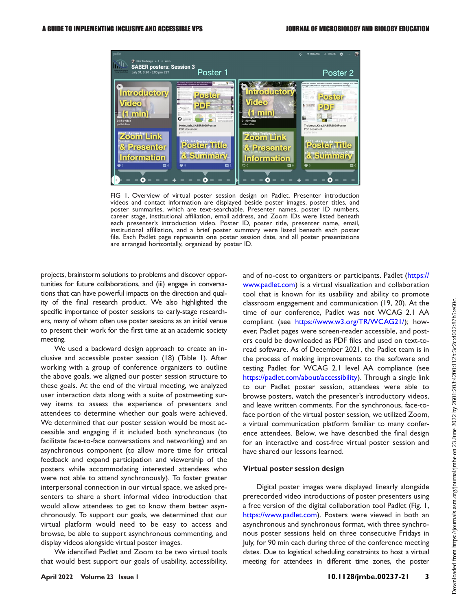

<span id="page-2-0"></span>FIG 1. Overview of virtual poster session design on Padlet. Presenter introduction videos and contact information are displayed beside poster images, poster titles, and poster summaries, which are text-searchable. Presenter names, poster ID numbers, career stage, institutional affiliation, email address, and Zoom IDs were listed beneath each presenter's introduction video. Poster ID, poster title, presenter name, email, institutional affiliation, and a brief poster summary were listed beneath each poster file. Each Padlet page represents one poster session date, and all poster presentations are arranged horizontally, organized by poster ID.

projects, brainstorm solutions to problems and discover opportunities for future collaborations, and (iii) engage in conversations that can have powerful impacts on the direction and quality of the final research product. We also highlighted the specific importance of poster sessions to early-stage researchers, many of whom often use poster sessions as an initial venue to present their work for the first time at an academic society meeting.

We used a backward design approach to create an inclusive and accessible poster session [\(18](#page-8-6)) ([Table 1\)](#page-1-0). After working with a group of conference organizers to outline the above goals, we aligned our poster session structure to these goals. At the end of the virtual meeting, we analyzed user interaction data along with a suite of postmeeting survey items to assess the experience of presenters and attendees to determine whether our goals were achieved. We determined that our poster session would be most accessible and engaging if it included both synchronous (to facilitate face-to-face conversations and networking) and an asynchronous component (to allow more time for critical feedback and expand participation and viewership of the posters while accommodating interested attendees who were not able to attend synchronously). To foster greater interpersonal connection in our virtual space, we asked presenters to share a short informal video introduction that would allow attendees to get to know them better asynchronously. To support our goals, we determined that our virtual platform would need to be easy to access and browse, be able to support asynchronous commenting, and display videos alongside virtual poster images.

We identified Padlet and Zoom to be two virtual tools that would best support our goals of usability, accessibility, [www.padlet.com](https://www.padlet.com)) is a virtual visualization and collaboration tool that is known for its usability and ability to promote classroom engagement and communication ([19,](#page-8-9) [20](#page-8-10)). At the time of our conference, Padlet was not WCAG 2.1 AA compliant (see [https://www.w3.org/TR/WCAG21/\)](https://www.w3.org/TR/WCAG21/); however, Padlet pages were screen-reader accessible, and posters could be downloaded as PDF files and used on text-toread software. As of December 2021, the Padlet team is in the process of making improvements to the software and testing Padlet for WCAG 2.1 level AA compliance (see [https://padlet.com/about/accessibility\)](https://padlet.com/about/accessibility). Through a single link to our Padlet poster session, attendees were able to browse posters, watch the presenter's introductory videos, and leave written comments. For the synchronous, face-toface portion of the virtual poster session, we utilized Zoom, a virtual communication platform familiar to many conference attendees. Below, we have described the final design for an interactive and cost-free virtual poster session and have shared our lessons learned.

and of no-cost to organizers or participants. Padlet ([https://](https://www.padlet.com)

#### Virtual poster session design

Digital poster images were displayed linearly alongside prerecorded video introductions of poster presenters using a free version of the digital collaboration tool Padlet ([Fig. 1,](#page-2-0) <https://www.padlet.com>). Posters were viewed in both an asynchronous and synchronous format, with three synchronous poster sessions held on three consecutive Fridays in July, for 90 min each during three of the conference meeting dates. Due to logistical scheduling constraints to host a virtual meeting for attendees in different time zones, the poster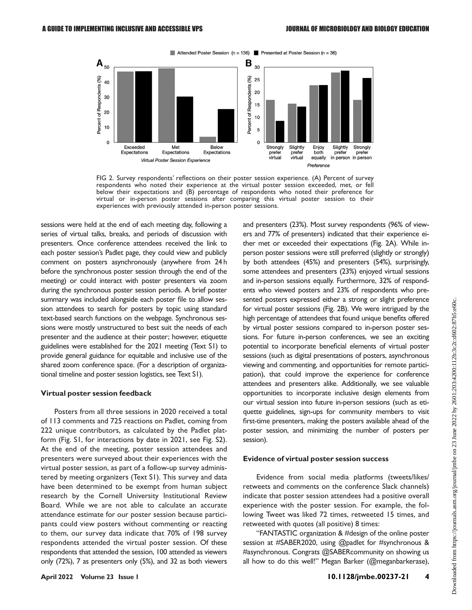

<span id="page-3-0"></span>FIG 2. Survey respondents' reflections on their poster session experience. (A) Percent of survey respondents who noted their experience at the virtual poster session exceeded, met, or fell below their expectations and (B) percentage of respondents who noted their preference for virtual or in-person poster sessions after comparing this virtual poster session to their experiences with previously attended in-person poster sessions.

sessions were held at the end of each meeting day, following a series of virtual talks, breaks, and periods of discussion with presenters. Once conference attendees received the link to each poster session's Padlet page, they could view and publicly comment on posters asynchronously (anywhere from 24 h before the synchronous poster session through the end of the meeting) or could interact with poster presenters via zoom during the synchronous poster session periods. A brief poster summary was included alongside each poster file to allow session attendees to search for posters by topic using standard text-based search functions on the webpage. Synchronous sessions were mostly unstructured to best suit the needs of each presenter and the audience at their poster; however, etiquette guidelines were established for the 2021 meeting (Text S1) to provide general guidance for equitable and inclusive use of the shared zoom conference space. (For a description of organizational timeline and poster session logistics, see Text S1).

#### Virtual poster session feedback

Posters from all three sessions in 2020 received a total of 113 comments and 725 reactions on Padlet, coming from 222 unique contributors, as calculated by the Padlet platform (Fig. S1, for interactions by date in 2021, see Fig. S2). At the end of the meeting, poster session attendees and presenters were surveyed about their experiences with the virtual poster session, as part of a follow-up survey administered by meeting organizers (Text S1). This survey and data have been determined to be exempt from human subject research by the Cornell University Institutional Review Board. While we are not able to calculate an accurate attendance estimate for our poster session because participants could view posters without commenting or reacting to them, our survey data indicate that 70% of 198 survey respondents attended the virtual poster session. Of these respondents that attended the session, 100 attended as viewers only (72%), 7 as presenters only (5%), and 32 as both viewers

and presenters (23%). Most survey respondents (96% of viewers and 77% of presenters) indicated that their experience either met or exceeded their expectations [\(Fig. 2A](#page-3-0)). While inperson poster sessions were still preferred (slightly or strongly) by both attendees (45%) and presenters (54%), surprisingly, some attendees and presenters (23%) enjoyed virtual sessions and in-person sessions equally. Furthermore, 32% of respondents who viewed posters and 23% of respondents who presented posters expressed either a strong or slight preference for virtual poster sessions [\(Fig. 2B\)](#page-3-0). We were intrigued by the high percentage of attendees that found unique benefits offered by virtual poster sessions compared to in-person poster sessions. For future in-person conferences, we see an exciting potential to incorporate beneficial elements of virtual poster sessions (such as digital presentations of posters, asynchronous viewing and commenting, and opportunities for remote participation), that could improve the experience for conference attendees and presenters alike. Additionally, we see valuable opportunities to incorporate inclusive design elements from our virtual session into future in-person sessions (such as etiquette guidelines, sign-ups for community members to visit first-time presenters, making the posters available ahead of the poster session, and minimizing the number of posters per session).

## Evidence of virtual poster session success

Evidence from social media platforms (tweets/likes/ retweets and comments on the conference Slack channels) indicate that poster session attendees had a positive overall experience with the poster session. For example, the following Tweet was liked 72 times, retweeted 15 times, and retweeted with quotes (all positive) 8 times:

"FANTASTIC organization & #design of the online poster session at #SABER2020, using @padlet for #synchronous & #asynchronous. Congrats @SABERcommunity on showing us all how to do this well!" Megan Barker (@meganbarkerase),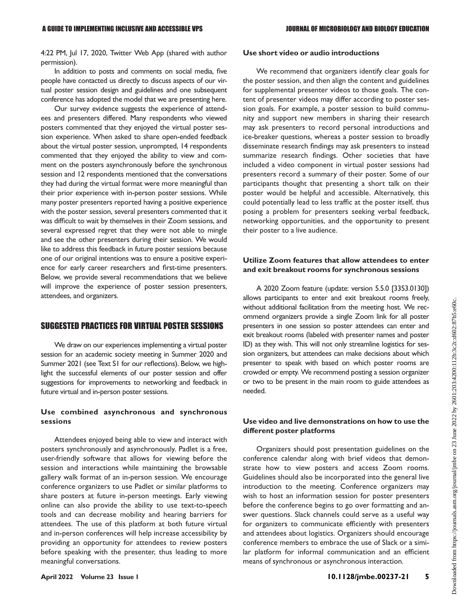4:22 PM, Jul 17, 2020, Twitter Web App (shared with author permission).

In addition to posts and comments on social media, five people have contacted us directly to discuss aspects of our virtual poster session design and guidelines and one subsequent conference has adopted the model that we are presenting here.

Our survey evidence suggests the experience of attendees and presenters differed. Many respondents who viewed posters commented that they enjoyed the virtual poster session experience. When asked to share open-ended feedback about the virtual poster session, unprompted, 14 respondents commented that they enjoyed the ability to view and comment on the posters asynchronously before the synchronous session and 12 respondents mentioned that the conversations they had during the virtual format were more meaningful than their prior experience with in-person poster sessions. While many poster presenters reported having a positive experience with the poster session, several presenters commented that it was difficult to wait by themselves in their Zoom sessions, and several expressed regret that they were not able to mingle and see the other presenters during their session. We would like to address this feedback in future poster sessions because one of our original intentions was to ensure a positive experience for early career researchers and first-time presenters. Below, we provide several recommendations that we believe will improve the experience of poster session presenters, attendees, and organizers.

# SUGGESTED PRACTICES FOR VIRTUAL POSTER SESSIONS

We draw on our experiences implementing a virtual poster session for an academic society meeting in Summer 2020 and Summer 2021 (see Text S1 for our reflections). Below, we highlight the successful elements of our poster session and offer suggestions for improvements to networking and feedback in future virtual and in-person poster sessions.

## Use combined asynchronous and synchronous sessions

Attendees enjoyed being able to view and interact with posters synchronously and asynchronously. Padlet is a free, user-friendly software that allows for viewing before the session and interactions while maintaining the browsable gallery walk format of an in-person session. We encourage conference organizers to use Padlet or similar platforms to share posters at future in-person meetings. Early viewing online can also provide the ability to use text-to-speech tools and can decrease mobility and hearing barriers for attendees. The use of this platform at both future virtual and in-person conferences will help increase accessibility by providing an opportunity for attendees to review posters before speaking with the presenter, thus leading to more meaningful conversations.

#### Use short video or audio introductions

We recommend that organizers identify clear goals for the poster session, and then align the content and guidelines for supplemental presenter videos to those goals. The content of presenter videos may differ according to poster session goals. For example, a poster session to build community and support new members in sharing their research may ask presenters to record personal introductions and ice-breaker questions, whereas a poster session to broadly disseminate research findings may ask presenters to instead summarize research findings. Other societies that have included a video component in virtual poster sessions had presenters record a summary of their poster. Some of our participants thought that presenting a short talk on their poster would be helpful and accessible. Alternatively, this could potentially lead to less traffic at the poster itself, thus posing a problem for presenters seeking verbal feedback, networking opportunities, and the opportunity to present their poster to a live audience.

## Utilize Zoom features that allow attendees to enter and exit breakout rooms for synchronous sessions

A 2020 Zoom feature (update: version 5.5.0 [3353.0130]) allows participants to enter and exit breakout rooms freely, without additional facilitation from the meeting host. We recommend organizers provide a single Zoom link for all poster presenters in one session so poster attendees can enter and exit breakout rooms (labeled with presenter names and poster ID) as they wish. This will not only streamline logistics for session organizers, but attendees can make decisions about which presenter to speak with based on which poster rooms are crowded or empty. We recommend posting a session organizer or two to be present in the main room to guide attendees as needed.

#### Use video and live demonstrations on how to use the different poster platforms

Organizers should post presentation guidelines on the conference calendar along with brief videos that demonstrate how to view posters and access Zoom rooms. Guidelines should also be incorporated into the general live introduction to the meeting. Conference organizers may wish to host an information session for poster presenters before the conference begins to go over formatting and answer questions. Slack channels could serve as a useful way for organizers to communicate efficiently with presenters and attendees about logistics. Organizers should encourage conference members to embrace the use of Slack or a similar platform for informal communication and an efficient means of synchronous or asynchronous interaction.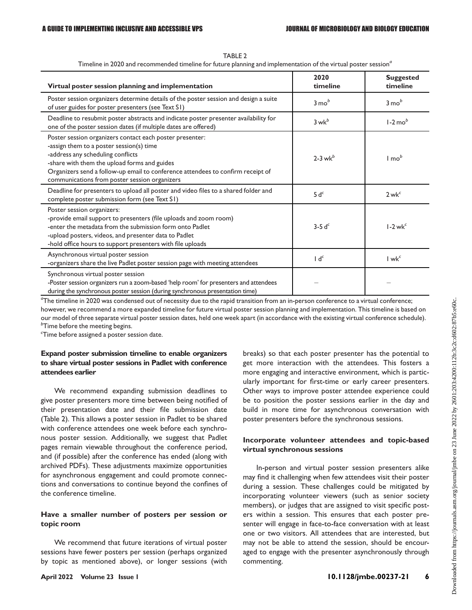<span id="page-5-0"></span>

| Virtual poster session planning and implementation                                                                                                                                                                                                                                                                            | 2020<br>timeline      | <b>Suggested</b><br>timeline |
|-------------------------------------------------------------------------------------------------------------------------------------------------------------------------------------------------------------------------------------------------------------------------------------------------------------------------------|-----------------------|------------------------------|
| Poster session organizers determine details of the poster session and design a suite<br>of user guides for poster presenters (see Text S1)                                                                                                                                                                                    | $3 \text{ mo}^b$      | $3 \text{ mo}^b$             |
| Deadline to resubmit poster abstracts and indicate poster presenter availability for<br>one of the poster session dates (if multiple dates are offered)                                                                                                                                                                       | $3$ wk $b$            | $1-2$ mo <sup>b</sup>        |
| Poster session organizers contact each poster presenter:<br>-assign them to a poster session(s) time<br>-address any scheduling conflicts<br>-share with them the upload forms and guides<br>Organizers send a follow-up email to conference attendees to confirm receipt of<br>communications from poster session organizers | $2-3$ wk <sup>b</sup> | Imo <sup>b</sup>             |
| Deadline for presenters to upload all poster and video files to a shared folder and<br>complete poster submission form (see Text S1)                                                                                                                                                                                          | $5d^c$                | $2$ wk <sup>c</sup>          |
| Poster session organizers:<br>-provide email support to presenters (file uploads and zoom room)<br>-enter the metadata from the submission form onto Padlet<br>-upload posters, videos, and presenter data to Padlet<br>-hold office hours to support presenters with file uploads                                            | $3-5dc$               | $1-2$ wk <sup>c</sup>        |
| Asynchronous virtual poster session<br>-organizers share the live Padlet poster session page with meeting attendees                                                                                                                                                                                                           | $\mathsf{Id}^c$       | $I$ wk <sup>c</sup>          |
| Synchronous virtual poster session<br>-Poster session organizers run a zoom-based 'help room' for presenters and attendees<br>during the synchronous poster session (during synchronous presentation time)                                                                                                                    |                       |                              |

TARI F<sub>2</sub> Timeline in 2020 and recommended timeline for future planning and implementation of the virtual poster session<sup>a</sup>

 $^a$ The timeline in 2020 was condensed out of necessity due to the rapid transition from an in-person conference to a virtual conference; however, we recommend a more expanded timeline for future virtual poster session planning and implementation. This timeline is based on our model of three separate virtual poster session dates, held one week apart (in accordance with the existing virtual conference schedule).  ${}^b$ Time before the meeting begins.

 $\epsilon$ Time before assigned a poster session date.

## Expand poster submission timeline to enable organizers to share virtual poster sessions in Padlet with conference attendees earlier

We recommend expanding submission deadlines to give poster presenters more time between being notified of their presentation date and their file submission date [\(Table 2\)](#page-5-0). This allows a poster session in Padlet to be shared with conference attendees one week before each synchronous poster session. Additionally, we suggest that Padlet pages remain viewable throughout the conference period, and (if possible) after the conference has ended (along with archived PDFs). These adjustments maximize opportunities for asynchronous engagement and could promote connections and conversations to continue beyond the confines of the conference timeline.

## Have a smaller number of posters per session or topic room

We recommend that future iterations of virtual poster sessions have fewer posters per session (perhaps organized by topic as mentioned above), or longer sessions (with breaks) so that each poster presenter has the potential to get more interaction with the attendees. This fosters a more engaging and interactive environment, which is particularly important for first-time or early career presenters. Other ways to improve poster attendee experience could be to position the poster sessions earlier in the day and build in more time for asynchronous conversation with poster presenters before the synchronous sessions.

#### Incorporate volunteer attendees and topic-based virtual synchronous sessions

In-person and virtual poster session presenters alike may find it challenging when few attendees visit their poster during a session. These challenges could be mitigated by incorporating volunteer viewers (such as senior society members), or judges that are assigned to visit specific posters within a session. This ensures that each poster presenter will engage in face-to-face conversation with at least one or two visitors. All attendees that are interested, but may not be able to attend the session, should be encouraged to engage with the presenter asynchronously through commenting.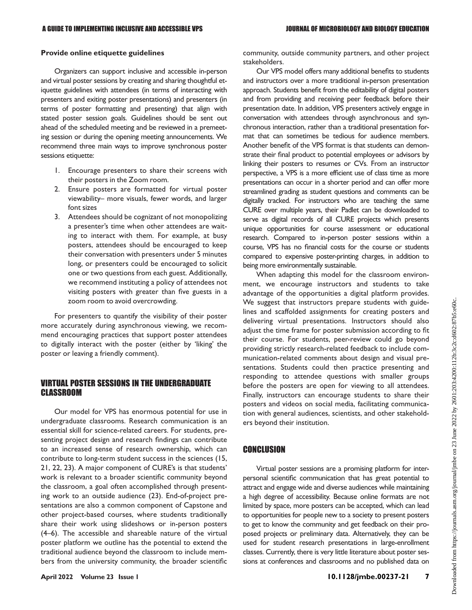#### Provide online etiquette guidelines

Organizers can support inclusive and accessible in-person and virtual poster sessions by creating and sharing thoughtful etiquette guidelines with attendees (in terms of interacting with presenters and exiting poster presentations) and presenters (in terms of poster formatting and presenting) that align with stated poster session goals. Guidelines should be sent out ahead of the scheduled meeting and be reviewed in a premeeting session or during the opening meeting announcements. We recommend three main ways to improve synchronous poster sessions etiquette:

- 1. Encourage presenters to share their screens with their posters in the Zoom room.
- 2. Ensure posters are formatted for virtual poster viewability– more visuals, fewer words, and larger font sizes
- 3. Attendees should be cognizant of not monopolizing a presenter's time when other attendees are waiting to interact with them. For example, at busy posters, attendees should be encouraged to keep their conversation with presenters under 5 minutes long, or presenters could be encouraged to solicit one or two questions from each guest. Additionally, we recommend instituting a policy of attendees not visiting posters with greater than five guests in a zoom room to avoid overcrowding.

For presenters to quantify the visibility of their poster more accurately during asynchronous viewing, we recommend encouraging practices that support poster attendees to digitally interact with the poster (either by 'liking' the poster or leaving a friendly comment).

## VIRTUAL POSTER SESSIONS IN THE UNDERGRADUATE CLASSROOM

Our model for VPS has enormous potential for use in undergraduate classrooms. Research communication is an essential skill for science-related careers. For students, presenting project design and research findings can contribute to an increased sense of research ownership, which can contribute to long-term student success in the sciences ([15,](#page-8-2) [21](#page-8-11), [22](#page-8-12), [23](#page-8-13)). A major component of CURE's is that students' work is relevant to a broader scientific community beyond the classroom, a goal often accomplished through presenting work to an outside audience [\(23](#page-8-13)). End-of-project presentations are also a common component of Capstone and other project-based courses, where students traditionally share their work using slideshows or in-person posters [\(4](#page-7-3)[–](#page-7-4)[6](#page-7-5)). The accessible and shareable nature of the virtual poster platform we outline has the potential to extend the traditional audience beyond the classroom to include members from the university community, the broader scientific

community, outside community partners, and other project stakeholders.

Our VPS model offers many additional benefits to students and instructors over a more traditional in-person presentation approach. Students benefit from the editability of digital posters and from providing and receiving peer feedback before their presentation date. In addition, VPS presenters actively engage in conversation with attendees through asynchronous and synchronous interaction, rather than a traditional presentation format that can sometimes be tedious for audience members. Another benefit of the VPS format is that students can demonstrate their final product to potential employees or advisors by linking their posters to resumes or CVs. From an instructor perspective, a VPS is a more efficient use of class time as more presentations can occur in a shorter period and can offer more streamlined grading as student questions and comments can be digitally tracked. For instructors who are teaching the same CURE over multiple years, their Padlet can be downloaded to serve as digital records of all CURE projects which presents unique opportunities for course assessment or educational research. Compared to in-person poster sessions within a course, VPS has no financial costs for the course or students compared to expensive poster-printing charges, in addition to being more environmentally sustainable.

When adapting this model for the classroom environment, we encourage instructors and students to take advantage of the opportunities a digital platform provides. We suggest that instructors prepare students with guidelines and scaffolded assignments for creating posters and delivering virtual presentations. Instructors should also adjust the time frame for poster submission according to fit their course. For students, peer-review could go beyond providing strictly research-related feedback to include communication-related comments about design and visual presentations. Students could then practice presenting and responding to attendee questions with smaller groups before the posters are open for viewing to all attendees. Finally, instructors can encourage students to share their posters and videos on social media, facilitating communication with general audiences, scientists, and other stakeholders beyond their institution.

#### **CONCLUSION**

Virtual poster sessions are a promising platform for interpersonal scientific communication that has great potential to attract and engage wide and diverse audiences while maintaining a high degree of accessibility. Because online formats are not limited by space, more posters can be accepted, which can lead to opportunities for people new to a society to present posters to get to know the community and get feedback on their proposed projects or preliminary data. Alternatively, they can be used for student research presentations in large-enrollment classes. Currently, there is very little literature about poster sessions at conferences and classrooms and no published data on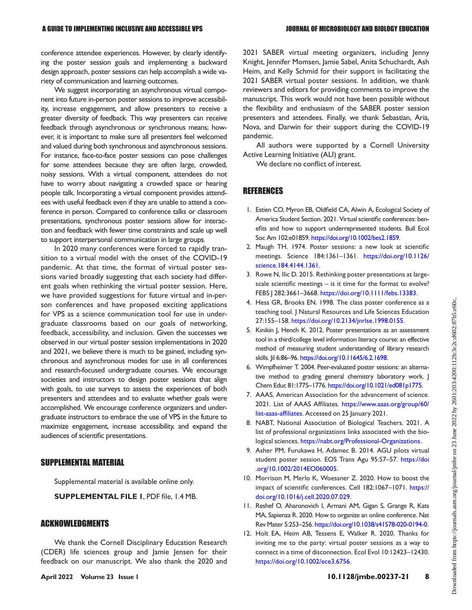conference attendee experiences. However, by clearly identifying the poster session goals and implementing a backward design approach, poster sessions can help accomplish a wide variety of communication and learning outcomes.

We suggest incorporating an asynchronous virtual component into future in-person poster sessions to improve accessibility, increase engagement, and allow presenters to receive a greater diversity of feedback. This way presenters can receive feedback through asynchronous or synchronous means; however, it is important to make sure all presenters feel welcomed and valued during both synchronous and asynchronous sessions. For instance, face-to-face poster sessions can pose challenges for some attendees because they are often large, crowded, noisy sessions. With a virtual component, attendees do not have to worry about navigating a crowded space or hearing people talk. Incorporating a virtual component provides attendees with useful feedback even if they are unable to attend a conference in person. Compared to conference talks or classroom presentations, synchronous poster sessions allow for interaction and feedback with fewer time constraints and scale up well to support interpersonal communication in large groups.

In 2020 many conferences were forced to rapidly transition to a virtual model with the onset of the COVID-19 pandemic. At that time, the format of virtual poster sessions varied broadly suggesting that each society had different goals when rethinking the virtual poster session. Here, we have provided suggestions for future virtual and in-person conferences and have proposed exciting applications for VPS as a science communication tool for use in undergraduate classrooms based on our goals of networking, feedback, accessibility, and inclusion. Given the successes we observed in our virtual poster session implementations in 2020 and 2021, we believe there is much to be gained, including synchronous and asynchronous modes for use in all conferences and research-focused undergraduate courses. We encourage societies and instructors to design poster sessions that align with goals, to use surveys to assess the experiences of both presenters and attendees and to evaluate whether goals were accomplished. We encourage conference organizers and undergraduate instructors to embrace the use of VPS in the future to maximize engagement, increase accessibility, and expand the audiences of scientific presentations.

#### SUPPLEMENTAL MATERIAL

Supplemental material is available online only.

SUPPLEMENTAL FILE 1, PDF file, 1.4 MB.

#### ACKNOWLEDGMENTS

We thank the Cornell Disciplinary Education Research (CDER) life sciences group and Jamie Jensen for their feedback on our manuscript. We also thank the 2020 and 2021 SABER virtual meeting organizers, including Jenny Knight, Jennifer Momsen, Jamie Sabel, Anita Schuchardt, Ash Heim, and Kelly Schmid for their support in facilitating the 2021 SABER virtual poster sessions. In addition, we thank reviewers and editors for providing comments to improve the manuscript. This work would not have been possible without the flexibility and enthusiasm of the SABER poster session presenters and attendees. Finally, we thank Sebastian, Aria, Nova, and Darwin for their support during the COVID-19 pandemic.

All authors were supported by a Cornell University Active Learning Initiative (ALI) grant.

We declare no conflict of interest.

# REFERENCES

- <span id="page-7-0"></span>1. Estien CO, Myron EB, Oldfield CA, Alwin A, Ecological Society of America Student Section. 2021. Virtual scientific conferences: benefits and how to support underrepresented students. Bull Ecol Soc Am 102:e01859. [https://doi.org/10.1002/bes2.1859.](https://doi.org/10.1002/bes2.1859)
- <span id="page-7-1"></span>2. Maugh TH. 1974. Poster sessions: a new look at scientific meetings. Science 184:1361–1361. [https://doi.org/10.1126/](https://doi.org/10.1126/science.184.4144.1361) [science.184.4144.1361.](https://doi.org/10.1126/science.184.4144.1361)
- <span id="page-7-2"></span>3. Rowe N, Ilic D. 2015. Rethinking poster presentations at largescale scientific meetings – is it time for the format to evolve? FEBS J 282:3661–3668. <https://doi.org/10.1111/febs.13383>.
- <span id="page-7-3"></span>4. Hess GR, Brooks EN. 1998. The class poster conference as a teaching tool. J Natural Resources and Life Sciences Education 27:155–158. <https://doi.org/10.2134/jnrlse.1998.0155>.
- <span id="page-7-4"></span>5. Kinikin J, Hench K. 2012. Poster presentations as an assessment tool in a third/college level information literacy course: an effective method of measuring student understanding of library research skills. Jil 6:86–96. <https://doi.org/10.11645/6.2.1698>.
- <span id="page-7-5"></span>6. Wimpfheimer T. 2004. Peer-evaluated poster sessions: an alternative method to grading general chemistry laboratory work. J Chem Educ 81:1775–1776. <https://doi.org/10.1021/ed081p1775>.
- <span id="page-7-6"></span>7. AAAS, American Association for the advancement of science. 2021. List of AAAS Affiliates. [https://www.aaas.org/group/60/](https://www.aaas.org/group/60/list-aaas-affiliates) [list-aaas-af](https://www.aaas.org/group/60/list-aaas-affiliates)filiates. Accessed on 25 January 2021.
- <span id="page-7-7"></span>8. NABT, National Association of Biological Teachers. 2021. A list of professional organizations links associated with the biological sciences. [https://nabt.org/Professional-Organizations.](https://nabt.org/Professional-Organizations)
- <span id="page-7-8"></span>9. Asher PM, Furukawa H, Adamec B. 2014. AGU pilots virtual student poster session. EOS Trans Agu 95:57–57. [https://doi](https://doi.org/10.1002/2014EO060005) [.org/10.1002/2014EO060005](https://doi.org/10.1002/2014EO060005).
- <span id="page-7-9"></span>10. Morrison M, Merlo K, Woessner Z. 2020. How to boost the impact of scientific conferences. Cell 182:1067–1071. [https://](https://doi.org/10.1016/j.cell.2020.07.029) [doi.org/10.1016/j.cell.2020.07.029](https://doi.org/10.1016/j.cell.2020.07.029).
- <span id="page-7-10"></span>11. Reshef O, Aharonovich I, Armani AM, Gigan S, Grange R, Kats MA, Sapienza R. 2020. How to organize an online conference. Nat Rev Mater 5:253–256. <https://doi.org/10.1038/s41578-020-0194-0>.
- <span id="page-7-11"></span>12. Holt EA, Heim AB, Tessens E, Walker R. 2020. Thanks for inviting me to the party: virtual poster sessions as a way to connect in a time of disconnection. Ecol Evol 10:12423–12430. <https://doi.org/10.1002/ece3.6756>.